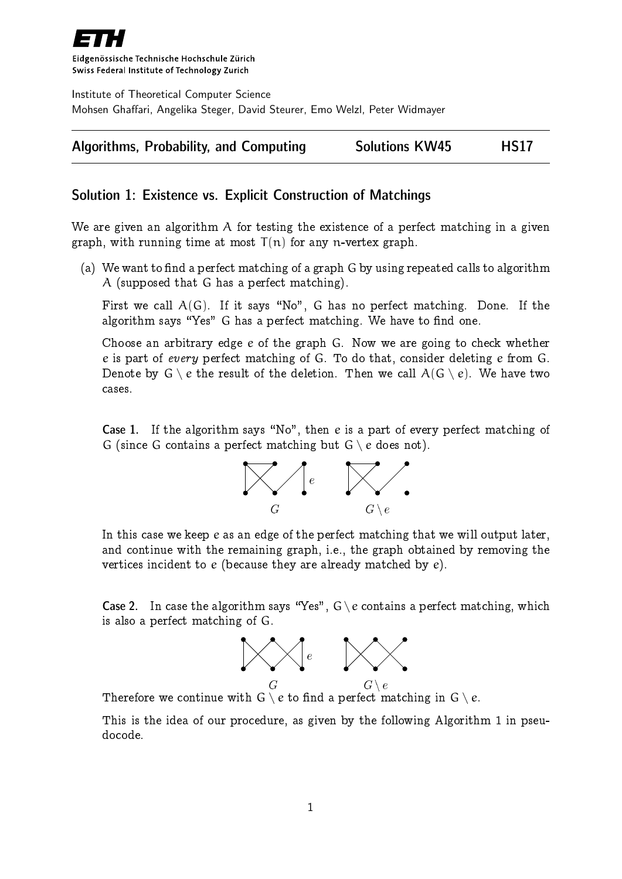

Eidgenössische Technische Hochschule Zürich Swiss Federal Institute of Technology Zurich

Institute of Theoretical Computer Science Mohsen Ghaffari, Angelika Steger, David Steurer, Emo Welzl, Peter Widmayer



## Solution 1: Existence vs. Explicit Construction of Matchings

We are given an algorithm A for testing the existence of a perfect matching in a given graph, with running time at most  $T(n)$  for any n-vertex graph.

(a) We want to find a perfect matching of a graph  $G$  by using repeated calls to algorithm A (supposed that G has a perfect matching).

First we call  $A(G)$ . If it says "No", G has no perfect matching. Done. If the algorithm says "Yes" G has a perfect matching. We have to find one.

Choose an arbitrary edge e of the graph G. Now we are going to check whether e is part of every perfect matching of G. To do that, consider deleting e from G. Denote by  $G \setminus e$  the result of the deletion. Then we call  $A(G \setminus e)$ . We have two cases.

**Case 1.** If the algorithm says "No", then e is a part of every perfect matching of G (since G contains a perfect matching but  $G \setminus e$  does not).



In this case we keep e as an edge of the perfect matching that we will output later, and continue with the remaining graph, i.e., the graph obtained by removing the vertices incident to e (because they are already matched by e).

**Case 2.** In case the algorithm says "Yes",  $G \ (e$  contains a perfect matching, which is also a perfect matching of G.



Therefore we continue with  $G \setminus e$  to find a perfect matching in  $G \setminus e$ .

This is the idea of our procedure, as given by the following Algorithm 1 in pseudocode.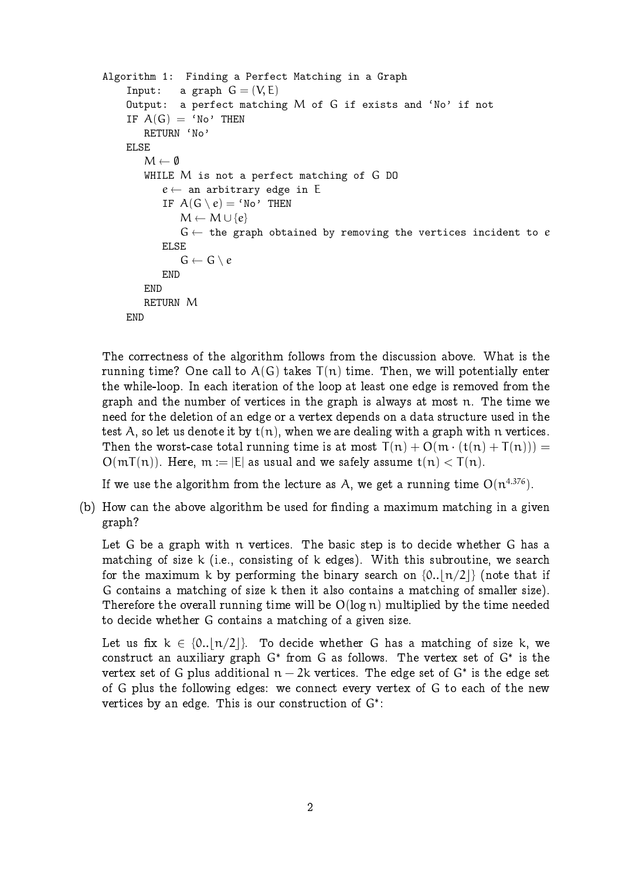```
Algorithm 1: Finding a Perfect Matching in a Graph
    Input: a graph G = (V, E)Output: a perfect matching M of G if exists and 'No' if not
    IF A(G) = 'No' THEN
        RETURN 'No'
    ELSE
        M \leftarrow \emptysetWHILE M is not a perfect matching of G DO
           e \leftarrow an arbitrary edge in E
           IF A(G \setminus e) = 'No' THEN
               M \leftarrow M \cup \{e\}G \leftarrow the graph obtained by removing the vertices incident to eELSE
               G \leftarrow G \setminus eEND
        END
        RETURN M
    END
```
The correctness of the algorithm follows from the discussion above. What is the running time? One call to  $A(G)$  takes  $T(n)$  time. Then, we will potentially enter the while-loop. In each iteration of the loop at least one edge is removed from the graph and the number of vertices in the graph is always at most n. The time we need for the deletion of an edge or a vertex depends on a data structure used in the test A, so let us denote it by  $t(n)$ , when we are dealing with a graph with n vertices. Then the worst-case total running time is at most  $T(n) + O(m \cdot (t(n) + T(n))) =$  $O(mT(n))$ . Here,  $m := |E|$  as usual and we safely assume  $t(n) < T(n)$ .

If we use the algorithm from the lecture as  $\mathcal{A},$  we get a running time  $\mathrm{O}(\mathfrak{n}^{4.376}).$ 

(b) How can the above algorithm be used for finding a maximum matching in a given graph?

Let G be a graph with n vertices. The basic step is to decide whether G has a matching of size k (i.e., consisting of k edges). With this subroutine, we search for the maximum k by performing the binary search on  ${0.||n/2||}$  (note that if G contains a matching of size k then it also contains a matching of smaller size). Therefore the overall running time will be  $O(log n)$  multiplied by the time needed to decide whether G contains a matching of a given size.

Let us fix  $k \in \{0..\lfloor n/2 \rfloor\}$ . To decide whether G has a matching of size k, we construct an auxiliary graph  $G^*$  from  $G$  as follows. The vertex set of  $G^*$  is the vertex set of G plus additional  $n-2k$  vertices. The edge set of G<sup>\*</sup> is the edge set of G plus the following edges: we connect every vertex of G to each of the new vertices by an edge. This is our construction of G<sup>\*</sup>: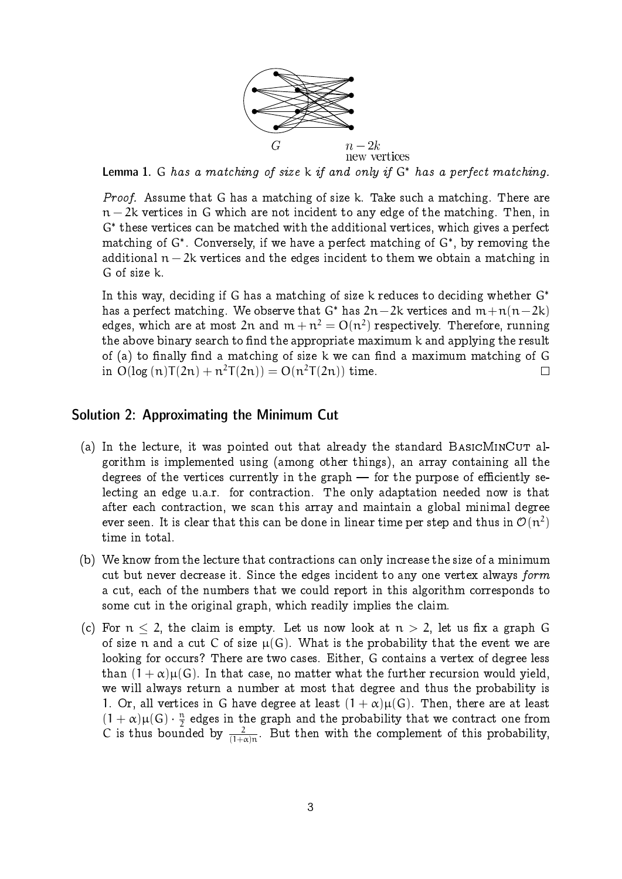

Lemma 1. G has a matching of size k if and only if  $G^*$  has a perfect matching.

Proof. Assume that G has a matching of size k. Take such a matching. There are  $n-2k$  vertices in G which are not incident to any edge of the matching. Then, in G these vertices can be matched with the additional vertices, which gives a perfect matching of G . Conversely, if we have a perfect matching of G , by removing the additional  $n-2k$  vertices and the edges incident to them we obtain a matching in G of size k.

In this way, deciding if G has a matching of size k reduces to deciding whether  $G^*$ has a perfect matching. We observe that G<sup>\*</sup> has  $2n-2k$  vertices and  $m+n(n-2k)$ edges, which are at most 2 ${\mathfrak n}$  and  ${\mathfrak m}+{\mathfrak n}^2={\rm O}({\mathfrak n}^2)$  respectively. Therefore, running the above binary search to find the appropriate maximum k and applying the result of (a) to finally find a matching of size  $k$  we can find a maximum matching of  $G$ in  $O(log (n)T(2n) + n^2T(2n)) = O(n^2T(2n))$  time.  $\Box$ 

## Solution 2: Approximating the Minimum Cut

- (a) In the lecture, it was pointed out that already the standard  $BASICMINCUT$  algorithm is implemented using (among other things), an array containing all the degrees of the vertices currently in the graph  $-$  for the purpose of efficiently selecting an edge u.a.r. for contraction. The only adaptation needed now is that after each contraction, we scan this array and maintain a global minimal degree ever seen. It is clear that this can be done in linear time per step and thus in  $\mathcal{O}(n^2)$ time in total.
- (b) We know from the lecture that contractions can only increase the size of a minimum cut but never decrease it. Since the edges incident to any one vertex always form a cut, each of the numbers that we could report in this algorithm corresponds to some cut in the original graph, which readily implies the claim.
- (c) For  $n < 2$ , the claim is empty. Let us now look at  $n > 2$ , let us fix a graph G of size n and a cut C of size  $\mu(G)$ . What is the probability that the event we are looking for occurs? There are two cases. Either, G contains a vertex of degree less than  $(1 + \alpha)\mu(G)$ . In that case, no matter what the further recursion would yield, we will always return a number at most that degree and thus the probability is 1. Or, all vertices in G have degree at least  $(1 + \alpha)\mu(G)$ . Then, there are at least  $(1+\alpha)\mu(G)\cdot\frac{n}{2}$  $\frac{\pi}{2}$  edges in the graph and the probability that we contract one from C is thus bounded by  $\frac{2}{(1+\alpha)n}$ . But then with the complement of this probability,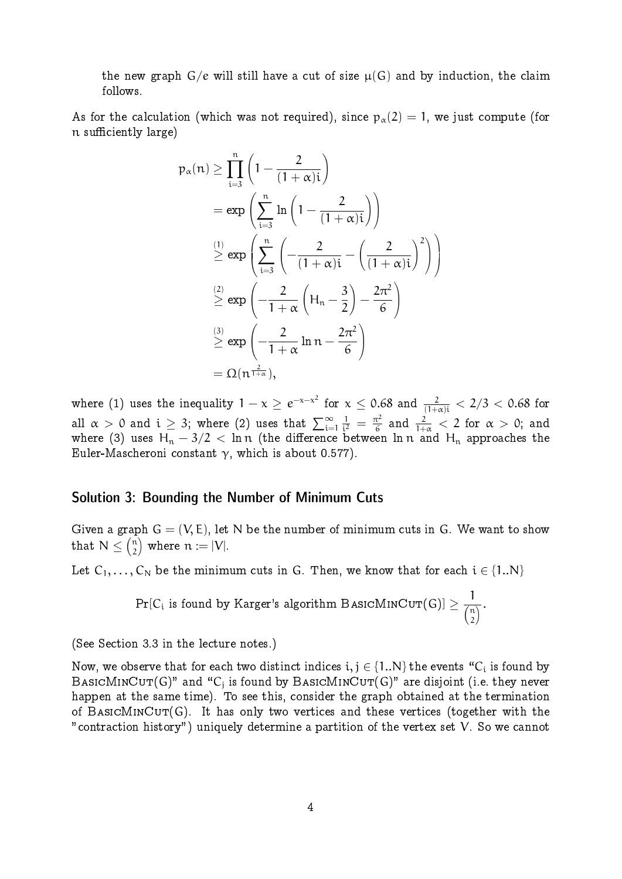the new graph  $G/e$  will still have a cut of size  $\mu(G)$  and by induction, the claim follows.

As for the calculation (which was not required), since  $p_{\alpha}(2) = 1$ , we just compute (for n sufficiently large)

$$
p_{\alpha}(n) \geq \prod_{i=3}^{n} \left(1 - \frac{2}{(1+\alpha)i}\right)
$$
  
=  $\exp\left(\sum_{i=3}^{n} \ln\left(1 - \frac{2}{(1+\alpha)i}\right)\right)$   
 $\stackrel{(1)}{\geq} \exp\left(\sum_{i=3}^{n} \left(-\frac{2}{(1+\alpha)i} - \left(\frac{2}{(1+\alpha)i}\right)^2\right)\right)$   
 $\stackrel{(2)}{\geq} \exp\left(-\frac{2}{1+\alpha}\left(H_n - \frac{3}{2}\right) - \frac{2\pi^2}{6}\right)$   
 $\stackrel{(3)}{\geq} \exp\left(-\frac{2}{1+\alpha}\ln n - \frac{2\pi^2}{6}\right)$   
=  $\Omega(n^{\frac{2}{1+\alpha}}),$ 

where (1) uses the inequality  $1 - \chi\geq e^{-\chi-\chi^2}$  for  $\chi\leq 0.68$  and  $\frac{2}{(1+\alpha)i} < 2/3 < 0.68$  for all  $\alpha\,>\,0$  and  $\mathfrak{i}\,\geq\,3;$  where  $(2)$  uses that  $\sum_{\mathfrak{i}=1}^\infty$ 1  $rac{1}{i^2} = \frac{\pi^2}{6}$  $\frac{\tau^2}{6}$  and  $\frac{2}{1+\alpha} < 2$  for  $\alpha > 0$ ; and where (3) uses  ${\sf H_n} - 3/2 \, < \, {\sf ln}\, {\sf n}$  (the difference between  ${\sf ln}\, {\sf n}$  and  ${\sf H_n}$  approaches the Euler-Mascheroni constant  $\gamma$ , which is about 0.577).

## Solution 3: Bounding the Number of Minimum Cuts

Given a graph  $G = (V, E)$ , let N be the number of minimum cuts in G. We want to show that  $\,\mathrm{N}\leq\left(\frac{\mathfrak{n}}{2}\right)$  $\binom{n}{2}$  where  $n \coloneqq |V|.$ 

Let  $C_1, \ldots, C_N$  be the minimum cuts in G. Then, we know that for each  $i \in \{1..N\}$ 

$$
Pr[C_i \text{ is found by Karger's algorithm BASICMINCUT}(G)] \geq \frac{1}{\binom{n}{2}}.
$$

(See Section 3.3 in the lecture notes.)

Now, we observe that for each two distinct indices  $\mathfrak{i}, \mathfrak{j} \in \{1..\textsf{N}\}$  the events "C $_\mathfrak{i}$  is found by  $\texttt{BASICMINCUT}(G)$ " and " $\texttt{C}_\texttt{j}$  is found by  $\texttt{BASICMINCUT}(G)$ " are disjoint (i.e. they never happen at the same time). To see this, consider the graph obtained at the termination of BASICMINCUT(G). It has only two vertices and these vertices (together with the "contraction history") uniquely determine a partition of the vertex set V. So we cannot